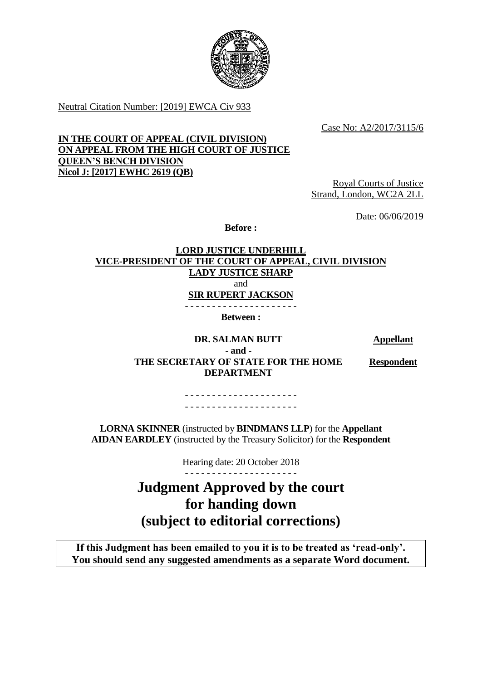

Neutral Citation Number: [2019] EWCA Civ 933

Case No: A2/2017/3115/6

### **IN THE COURT OF APPEAL (CIVIL DIVISION) ON APPEAL FROM THE HIGH COURT OF JUSTICE QUEEN'S BENCH DIVISION Nicol J: [2017] EWHC 2619 (QB)**

Royal Courts of Justice Strand, London, WC2A 2LL

Date: 06/06/2019

**Before :**

## **LORD JUSTICE UNDERHILL VICE-PRESIDENT OF THE COURT OF APPEAL, CIVIL DIVISION LADY JUSTICE SHARP** and **SIR RUPERT JACKSON** - - - - - - - - - - - - - - - - - - - - - **Between :**

**DR. SALMAN BUTT Appellant - and - THE SECRETARY OF STATE FOR THE HOME DEPARTMENT**

**Respondent**

- - - - - - - - - - - - - - - - - - - - - - - - - - - - - - - - - - - - - - - - - -

**LORNA SKINNER** (instructed by **BINDMANS LLP**) for the **Appellant AIDAN EARDLEY** (instructed by the Treasury Solicitor) for the **Respondent**

Hearing date: 20 October 2018

**Judgment Approved by the court for handing down (subject to editorial corrections)**

**If this Judgment has been emailed to you it is to be treated as 'read-only'. You should send any suggested amendments as a separate Word document.**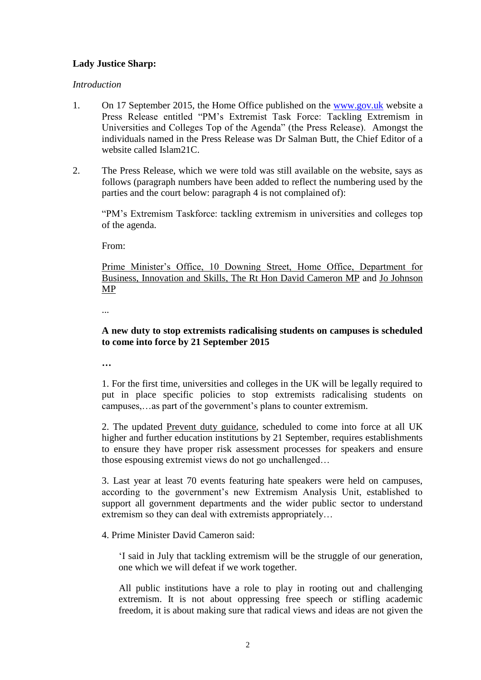# **Lady Justice Sharp:**

#### *Introduction*

- 1. On 17 September 2015, the Home Office published on the [www.gov.uk](http://www.gov.uk/) website a Press Release entitled "PM's Extremist Task Force: Tackling Extremism in Universities and Colleges Top of the Agenda" (the Press Release). Amongst the individuals named in the Press Release was Dr Salman Butt, the Chief Editor of a website called Islam21C.
- 2. The Press Release, which we were told was still available on the website, says as follows (paragraph numbers have been added to reflect the numbering used by the parties and the court below: paragraph 4 is not complained of):

"PM's Extremism Taskforce: tackling extremism in universities and colleges top of the agenda.

From:

Prime Minister's Office, 10 Downing Street, Home Office, Department for Business, Innovation and Skills, The Rt Hon David Cameron MP and Jo Johnson MP

...

## **A new duty to stop extremists radicalising students on campuses is scheduled to come into force by 21 September 2015**

**…**

1. For the first time, universities and colleges in the UK will be legally required to put in place specific policies to stop extremists radicalising students on campuses,…as part of the government's plans to counter extremism.

2. The updated Prevent duty guidance, scheduled to come into force at all UK higher and further education institutions by 21 September, requires establishments to ensure they have proper risk assessment processes for speakers and ensure those espousing extremist views do not go unchallenged…

3. Last year at least 70 events featuring hate speakers were held on campuses, according to the government's new Extremism Analysis Unit, established to support all government departments and the wider public sector to understand extremism so they can deal with extremists appropriately…

### 4. Prime Minister David Cameron said:

'I said in July that tackling extremism will be the struggle of our generation, one which we will defeat if we work together.

All public institutions have a role to play in rooting out and challenging extremism. It is not about oppressing free speech or stifling academic freedom, it is about making sure that radical views and ideas are not given the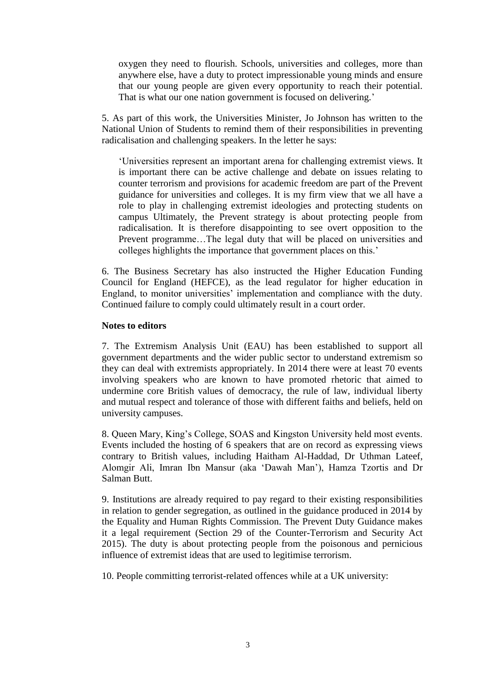oxygen they need to flourish. Schools, universities and colleges, more than anywhere else, have a duty to protect impressionable young minds and ensure that our young people are given every opportunity to reach their potential. That is what our one nation government is focused on delivering.'

5. As part of this work, the Universities Minister, Jo Johnson has written to the National Union of Students to remind them of their responsibilities in preventing radicalisation and challenging speakers. In the letter he says:

'Universities represent an important arena for challenging extremist views. It is important there can be active challenge and debate on issues relating to counter terrorism and provisions for academic freedom are part of the Prevent guidance for universities and colleges. It is my firm view that we all have a role to play in challenging extremist ideologies and protecting students on campus Ultimately, the Prevent strategy is about protecting people from radicalisation. It is therefore disappointing to see overt opposition to the Prevent programme…The legal duty that will be placed on universities and colleges highlights the importance that government places on this.'

6. The Business Secretary has also instructed the Higher Education Funding Council for England (HEFCE), as the lead regulator for higher education in England, to monitor universities' implementation and compliance with the duty. Continued failure to comply could ultimately result in a court order.

#### **Notes to editors**

7. The Extremism Analysis Unit (EAU) has been established to support all government departments and the wider public sector to understand extremism so they can deal with extremists appropriately. In 2014 there were at least 70 events involving speakers who are known to have promoted rhetoric that aimed to undermine core British values of democracy, the rule of law, individual liberty and mutual respect and tolerance of those with different faiths and beliefs, held on university campuses.

8. Queen Mary, King's College, SOAS and Kingston University held most events. Events included the hosting of 6 speakers that are on record as expressing views contrary to British values, including Haitham Al-Haddad, Dr Uthman Lateef, Alomgir Ali, Imran Ibn Mansur (aka 'Dawah Man'), Hamza Tzortis and Dr Salman Butt.

9. Institutions are already required to pay regard to their existing responsibilities in relation to gender segregation, as outlined in the guidance produced in 2014 by the Equality and Human Rights Commission. The Prevent Duty Guidance makes it a legal requirement (Section 29 of the Counter-Terrorism and Security Act 2015). The duty is about protecting people from the poisonous and pernicious influence of extremist ideas that are used to legitimise terrorism.

10. People committing terrorist-related offences while at a UK university: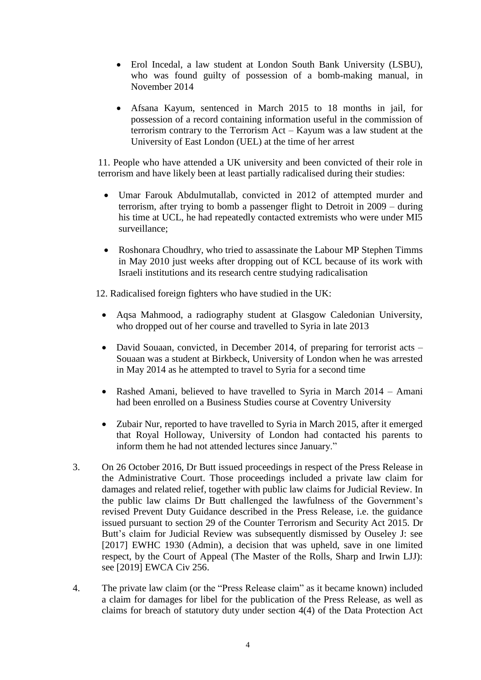- Erol Incedal, a law student at London South Bank University (LSBU), who was found guilty of possession of a bomb-making manual, in November 2014
- Afsana Kayum, sentenced in March 2015 to 18 months in jail, for possession of a record containing information useful in the commission of terrorism contrary to the Terrorism Act – Kayum was a law student at the University of East London (UEL) at the time of her arrest

11. People who have attended a UK university and been convicted of their role in terrorism and have likely been at least partially radicalised during their studies:

- Umar Farouk Abdulmutallab, convicted in 2012 of attempted murder and terrorism, after trying to bomb a passenger flight to Detroit in 2009 – during his time at UCL, he had repeatedly contacted extremists who were under MI5 surveillance;
- Roshonara Choudhry, who tried to assassinate the Labour MP Stephen Timms in May 2010 just weeks after dropping out of KCL because of its work with Israeli institutions and its research centre studying radicalisation

12. Radicalised foreign fighters who have studied in the UK:

- Aqsa Mahmood, a radiography student at Glasgow Caledonian University, who dropped out of her course and travelled to Syria in late 2013
- David Souaan, convicted, in December 2014, of preparing for terrorist acts Souaan was a student at Birkbeck, University of London when he was arrested in May 2014 as he attempted to travel to Syria for a second time
- Rashed Amani, believed to have travelled to Syria in March 2014 Amani had been enrolled on a Business Studies course at Coventry University
- Zubair Nur, reported to have travelled to Syria in March 2015, after it emerged that Royal Holloway, University of London had contacted his parents to inform them he had not attended lectures since January."
- 3. On 26 October 2016, Dr Butt issued proceedings in respect of the Press Release in the Administrative Court. Those proceedings included a private law claim for damages and related relief, together with public law claims for Judicial Review. In the public law claims Dr Butt challenged the lawfulness of the Government's revised Prevent Duty Guidance described in the Press Release, i.e. the guidance issued pursuant to section 29 of the Counter Terrorism and Security Act 2015. Dr Butt's claim for Judicial Review was subsequently dismissed by Ouseley J: see [2017] EWHC 1930 (Admin), a decision that was upheld, save in one limited respect, by the Court of Appeal (The Master of the Rolls, Sharp and Irwin LJJ): see [2019] EWCA Civ 256.
- 4. The private law claim (or the "Press Release claim" as it became known) included a claim for damages for libel for the publication of the Press Release, as well as claims for breach of statutory duty under section 4(4) of the Data Protection Act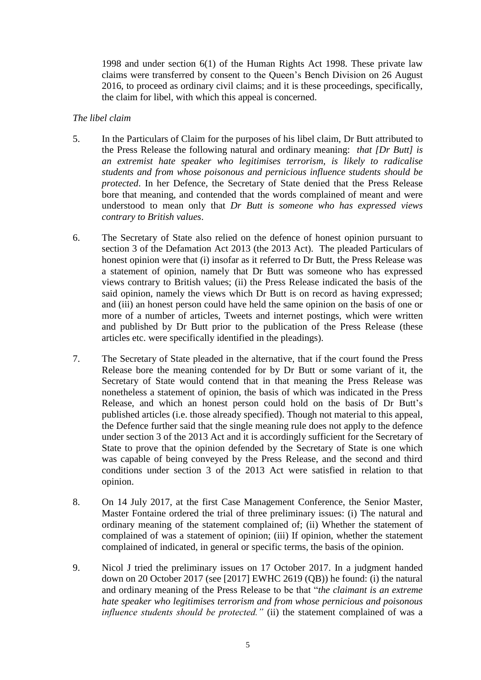1998 and under section 6(1) of the Human Rights Act 1998. These private law claims were transferred by consent to the Queen's Bench Division on 26 August 2016, to proceed as ordinary civil claims; and it is these proceedings, specifically, the claim for libel, with which this appeal is concerned.

### *The libel claim*

- 5. In the Particulars of Claim for the purposes of his libel claim, Dr Butt attributed to the Press Release the following natural and ordinary meaning: *that [Dr Butt] is an extremist hate speaker who legitimises terrorism, is likely to radicalise students and from whose poisonous and pernicious influence students should be protected*. In her Defence, the Secretary of State denied that the Press Release bore that meaning, and contended that the words complained of meant and were understood to mean only that *Dr Butt is someone who has expressed views contrary to British values*.
- 6. The Secretary of State also relied on the defence of honest opinion pursuant to section 3 of the Defamation Act 2013 (the 2013 Act). The pleaded Particulars of honest opinion were that (i) insofar as it referred to Dr Butt, the Press Release was a statement of opinion, namely that Dr Butt was someone who has expressed views contrary to British values; (ii) the Press Release indicated the basis of the said opinion, namely the views which Dr Butt is on record as having expressed; and (iii) an honest person could have held the same opinion on the basis of one or more of a number of articles, Tweets and internet postings, which were written and published by Dr Butt prior to the publication of the Press Release (these articles etc. were specifically identified in the pleadings).
- 7. The Secretary of State pleaded in the alternative, that if the court found the Press Release bore the meaning contended for by Dr Butt or some variant of it, the Secretary of State would contend that in that meaning the Press Release was nonetheless a statement of opinion, the basis of which was indicated in the Press Release, and which an honest person could hold on the basis of Dr Butt's published articles (i.e. those already specified). Though not material to this appeal, the Defence further said that the single meaning rule does not apply to the defence under section 3 of the 2013 Act and it is accordingly sufficient for the Secretary of State to prove that the opinion defended by the Secretary of State is one which was capable of being conveyed by the Press Release, and the second and third conditions under section 3 of the 2013 Act were satisfied in relation to that opinion.
- 8. On 14 July 2017, at the first Case Management Conference, the Senior Master, Master Fontaine ordered the trial of three preliminary issues: (i) The natural and ordinary meaning of the statement complained of; (ii) Whether the statement of complained of was a statement of opinion; (iii) If opinion, whether the statement complained of indicated, in general or specific terms, the basis of the opinion.
- 9. Nicol J tried the preliminary issues on 17 October 2017. In a judgment handed down on 20 October 2017 (see [2017] EWHC 2619 (QB)) he found: (i) the natural and ordinary meaning of the Press Release to be that "*the claimant is an extreme hate speaker who legitimises terrorism and from whose pernicious and poisonous influence students should be protected."* (ii) the statement complained of was a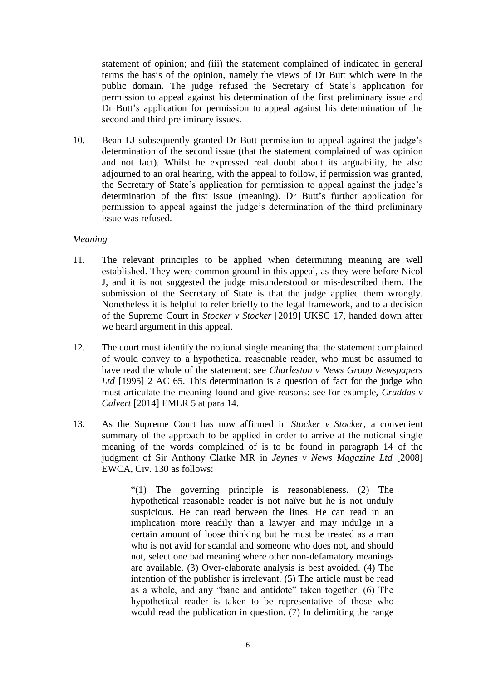statement of opinion; and (iii) the statement complained of indicated in general terms the basis of the opinion, namely the views of Dr Butt which were in the public domain. The judge refused the Secretary of State's application for permission to appeal against his determination of the first preliminary issue and Dr Butt's application for permission to appeal against his determination of the second and third preliminary issues.

10. Bean LJ subsequently granted Dr Butt permission to appeal against the judge's determination of the second issue (that the statement complained of was opinion and not fact). Whilst he expressed real doubt about its arguability, he also adjourned to an oral hearing, with the appeal to follow, if permission was granted, the Secretary of State's application for permission to appeal against the judge's determination of the first issue (meaning). Dr Butt's further application for permission to appeal against the judge's determination of the third preliminary issue was refused.

## *Meaning*

- 11. The relevant principles to be applied when determining meaning are well established. They were common ground in this appeal, as they were before Nicol J, and it is not suggested the judge misunderstood or mis-described them. The submission of the Secretary of State is that the judge applied them wrongly. Nonetheless it is helpful to refer briefly to the legal framework, and to a decision of the Supreme Court in *Stocker v Stocker* [2019] UKSC 17, handed down after we heard argument in this appeal.
- 12. The court must identify the notional single meaning that the statement complained of would convey to a hypothetical reasonable reader, who must be assumed to have read the whole of the statement: see *Charleston v News Group Newspapers Ltd* [1995] 2 AC 65. This determination is a question of fact for the judge who must articulate the meaning found and give reasons: see for example, *Cruddas v Calvert* [2014] EMLR 5 at para 14.
- 13. As the Supreme Court has now affirmed in *Stocker v Stocker,* a convenient summary of the approach to be applied in order to arrive at the notional single meaning of the words complained of is to be found in paragraph 14 of the judgment of Sir Anthony Clarke MR in *Jeynes v News Magazine Ltd* [2008] EWCA, Civ. 130 as follows:

"(1) The governing principle is reasonableness. (2) The hypothetical reasonable reader is not naïve but he is not unduly suspicious. He can read between the lines. He can read in an implication more readily than a lawyer and may indulge in a certain amount of loose thinking but he must be treated as a man who is not avid for scandal and someone who does not, and should not, select one bad meaning where other non-defamatory meanings are available. (3) Over-elaborate analysis is best avoided. (4) The intention of the publisher is irrelevant. (5) The article must be read as a whole, and any "bane and antidote" taken together. (6) The hypothetical reader is taken to be representative of those who would read the publication in question. (7) In delimiting the range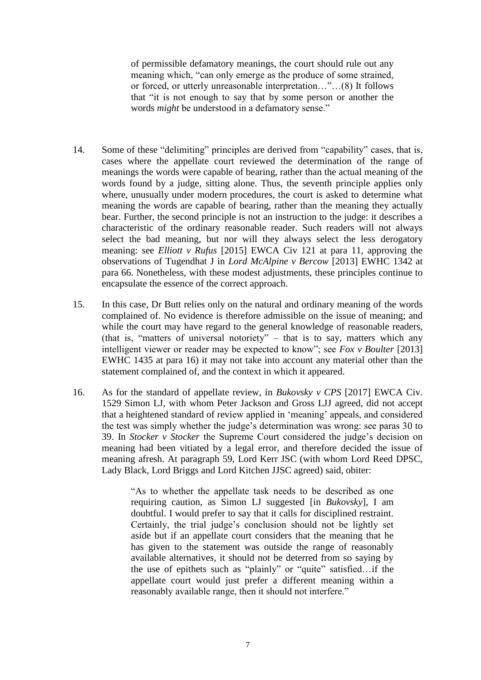of permissible defamatory meanings, the court should rule out any meaning which, "can only emerge as the produce of some strained, or forced, or utterly unreasonable interpretation…"...(8) It follows that "it is not enough to say that by some person or another the words *might* be understood in a defamatory sense."

- 14. Some of these "delimiting" principles are derived from "capability" cases, that is, cases where the appellate court reviewed the determination of the range of meanings the words were capable of bearing, rather than the actual meaning of the words found by a judge, sitting alone. Thus, the seventh principle applies only where, unusually under modern procedures, the court is asked to determine what meaning the words are capable of bearing, rather than the meaning they actually bear. Further, the second principle is not an instruction to the judge: it describes a characteristic of the ordinary reasonable reader. Such readers will not always select the bad meaning, but nor will they always select the less derogatory meaning: see *Elliott v Rufus* [2015] EWCA Civ 121 at para 11, approving the observations of Tugendhat J in *Lord McAlpine v Bercow* [2013] EWHC 1342 at para 66. Nonetheless, with these modest adjustments, these principles continue to encapsulate the essence of the correct approach.
- 15. In this case, Dr Butt relies only on the natural and ordinary meaning of the words complained of. No evidence is therefore admissible on the issue of meaning; and while the court may have regard to the general knowledge of reasonable readers, (that is, "matters of universal notoriety" – that is to say, matters which any intelligent viewer or reader may be expected to know"; see *Fox v Boulter* [2013] EWHC 1435 at para 16) it may not take into account any material other than the statement complained of, and the context in which it appeared.
- 16. As for the standard of appellate review, in *Bukovsky v CPS* [2017] EWCA Civ. 1529 Simon LJ, with whom Peter Jackson and Gross LJJ agreed, did not accept that a heightened standard of review applied in 'meaning' appeals, and considered the test was simply whether the judge's determination was wrong: see paras 30 to 39. In *Stocker v Stocker* the Supreme Court considered the judge's decision on meaning had been vitiated by a legal error, and therefore decided the issue of meaning afresh. At paragraph 59, Lord Kerr JSC (with whom Lord Reed DPSC, Lady Black, Lord Briggs and Lord Kitchen JJSC agreed) said, obiter:

"As to whether the appellate task needs to be described as one requiring caution, as Simon LJ suggested [in *Bukovsky*], I am doubtful. I would prefer to say that it calls for disciplined restraint. Certainly, the trial judge's conclusion should not be lightly set aside but if an appellate court considers that the meaning that he has given to the statement was outside the range of reasonably available alternatives, it should not be deterred from so saying by the use of epithets such as "plainly" or "quite" satisfied…if the appellate court would just prefer a different meaning within a reasonably available range, then it should not interfere."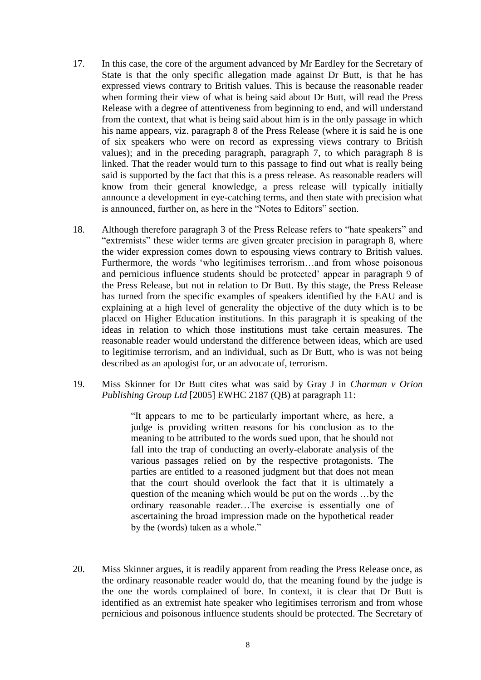- 17. In this case, the core of the argument advanced by Mr Eardley for the Secretary of State is that the only specific allegation made against Dr Butt, is that he has expressed views contrary to British values. This is because the reasonable reader when forming their view of what is being said about Dr Butt, will read the Press Release with a degree of attentiveness from beginning to end, and will understand from the context, that what is being said about him is in the only passage in which his name appears, viz. paragraph 8 of the Press Release (where it is said he is one of six speakers who were on record as expressing views contrary to British values); and in the preceding paragraph, paragraph 7, to which paragraph 8 is linked. That the reader would turn to this passage to find out what is really being said is supported by the fact that this is a press release. As reasonable readers will know from their general knowledge, a press release will typically initially announce a development in eye-catching terms, and then state with precision what is announced, further on, as here in the "Notes to Editors" section.
- 18. Although therefore paragraph 3 of the Press Release refers to "hate speakers" and "extremists" these wider terms are given greater precision in paragraph 8, where the wider expression comes down to espousing views contrary to British values. Furthermore, the words 'who legitimises terrorism…and from whose poisonous and pernicious influence students should be protected' appear in paragraph 9 of the Press Release, but not in relation to Dr Butt. By this stage, the Press Release has turned from the specific examples of speakers identified by the EAU and is explaining at a high level of generality the objective of the duty which is to be placed on Higher Education institutions. In this paragraph it is speaking of the ideas in relation to which those institutions must take certain measures. The reasonable reader would understand the difference between ideas, which are used to legitimise terrorism, and an individual, such as Dr Butt, who is was not being described as an apologist for, or an advocate of, terrorism.
- 19. Miss Skinner for Dr Butt cites what was said by Gray J in *Charman v Orion Publishing Group Ltd* [2005] EWHC 2187 (QB) at paragraph 11:

"It appears to me to be particularly important where, as here, a judge is providing written reasons for his conclusion as to the meaning to be attributed to the words sued upon, that he should not fall into the trap of conducting an overly-elaborate analysis of the various passages relied on by the respective protagonists. The parties are entitled to a reasoned judgment but that does not mean that the court should overlook the fact that it is ultimately a question of the meaning which would be put on the words …by the ordinary reasonable reader…The exercise is essentially one of ascertaining the broad impression made on the hypothetical reader by the (words) taken as a whole."

20. Miss Skinner argues, it is readily apparent from reading the Press Release once, as the ordinary reasonable reader would do, that the meaning found by the judge is the one the words complained of bore. In context, it is clear that Dr Butt is identified as an extremist hate speaker who legitimises terrorism and from whose pernicious and poisonous influence students should be protected. The Secretary of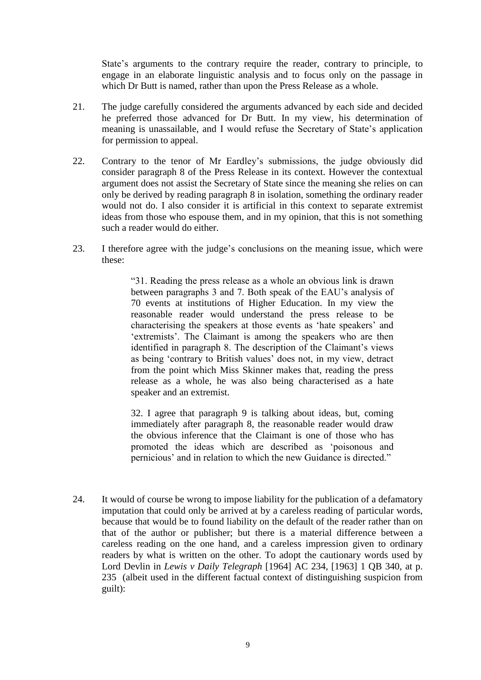State's arguments to the contrary require the reader, contrary to principle, to engage in an elaborate linguistic analysis and to focus only on the passage in which Dr Butt is named, rather than upon the Press Release as a whole.

- 21. The judge carefully considered the arguments advanced by each side and decided he preferred those advanced for Dr Butt. In my view, his determination of meaning is unassailable, and I would refuse the Secretary of State's application for permission to appeal.
- 22. Contrary to the tenor of Mr Eardley's submissions, the judge obviously did consider paragraph 8 of the Press Release in its context. However the contextual argument does not assist the Secretary of State since the meaning she relies on can only be derived by reading paragraph 8 in isolation, something the ordinary reader would not do. I also consider it is artificial in this context to separate extremist ideas from those who espouse them, and in my opinion, that this is not something such a reader would do either.
- 23. I therefore agree with the judge's conclusions on the meaning issue, which were these:

"31. Reading the press release as a whole an obvious link is drawn between paragraphs 3 and 7. Both speak of the EAU's analysis of 70 events at institutions of Higher Education. In my view the reasonable reader would understand the press release to be characterising the speakers at those events as 'hate speakers' and 'extremists'. The Claimant is among the speakers who are then identified in paragraph 8. The description of the Claimant's views as being 'contrary to British values' does not, in my view, detract from the point which Miss Skinner makes that, reading the press release as a whole, he was also being characterised as a hate speaker and an extremist.

32. I agree that paragraph 9 is talking about ideas, but, coming immediately after paragraph 8, the reasonable reader would draw the obvious inference that the Claimant is one of those who has promoted the ideas which are described as 'poisonous and pernicious' and in relation to which the new Guidance is directed."

24. It would of course be wrong to impose liability for the publication of a defamatory imputation that could only be arrived at by a careless reading of particular words, because that would be to found liability on the default of the reader rather than on that of the author or publisher; but there is a material difference between a careless reading on the one hand, and a careless impression given to ordinary readers by what is written on the other. To adopt the cautionary words used by Lord Devlin in *Lewis v Daily Telegraph* [1964] AC 234, [1963] 1 QB 340, at p. 235 (albeit used in the different factual context of distinguishing suspicion from guilt):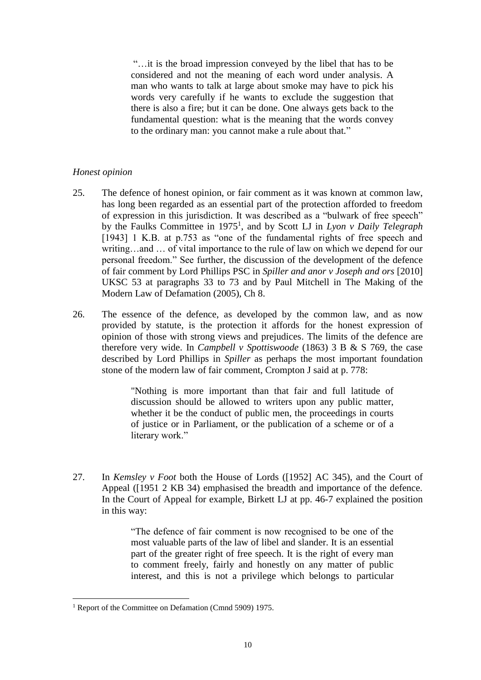"…it is the broad impression conveyed by the libel that has to be considered and not the meaning of each word under analysis. A man who wants to talk at large about smoke may have to pick his words very carefully if he wants to exclude the suggestion that there is also a fire; but it can be done. One always gets back to the fundamental question: what is the meaning that the words convey to the ordinary man: you cannot make a rule about that."

## *Honest opinion*

- 25. The defence of honest opinion, or fair comment as it was known at common law, has long been regarded as an essential part of the protection afforded to freedom of expression in this jurisdiction. It was described as a "bulwark of free speech" by the Faulks Committee in 1975<sup>1</sup> , and by Scott LJ in *Lyon v Daily Telegraph*  [1943] 1 K.B. at p.753 as "one of the fundamental rights of free speech and writing…and … of vital importance to the rule of law on which we depend for our personal freedom." See further, the discussion of the development of the defence of fair comment by Lord Phillips PSC in *Spiller and anor v Joseph and ors* [2010] UKSC 53 at paragraphs 33 to 73 and by Paul Mitchell in The Making of the Modern Law of Defamation (2005), Ch 8.
- 26. The essence of the defence, as developed by the common law, and as now provided by statute, is the protection it affords for the honest expression of opinion of those with strong views and prejudices. The limits of the defence are therefore very wide. In *Campbell v Spottiswoode* (1863) 3 B & S 769, the case described by Lord Phillips in *Spiller* as perhaps the most important foundation stone of the modern law of fair comment, Crompton J said at p. 778:

"Nothing is more important than that fair and full latitude of discussion should be allowed to writers upon any public matter, whether it be the conduct of public men, the proceedings in courts of justice or in Parliament, or the publication of a scheme or of a literary work."

27. In *Kemsley v Foot* both the House of Lords ([1952] AC 345), and the Court of Appeal ([1951 2 KB 34) emphasised the breadth and importance of the defence. In the Court of Appeal for example, Birkett LJ at pp. 46-7 explained the position in this way:

> "The defence of fair comment is now recognised to be one of the most valuable parts of the law of libel and slander. It is an essential part of the greater right of free speech. It is the right of every man to comment freely, fairly and honestly on any matter of public interest, and this is not a privilege which belongs to particular

 $\overline{a}$ <sup>1</sup> Report of the Committee on Defamation (Cmnd 5909) 1975.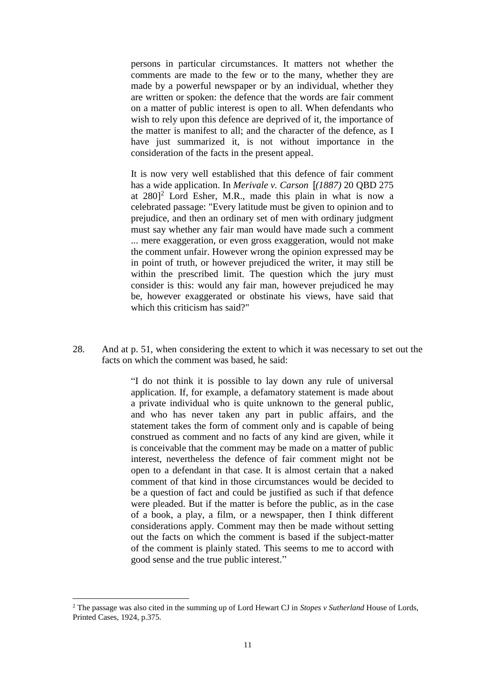persons in particular circumstances. It matters not whether the comments are made to the few or to the many, whether they are made by a powerful newspaper or by an individual, whether they are written or spoken: the defence that the words are fair comment on a matter of public interest is open to all. When defendants who wish to rely upon this defence are deprived of it, the importance of the matter is manifest to all; and the character of the defence, as I have just summarized it, is not without importance in the consideration of the facts in the present appeal.

It is now very well established that this defence of fair comment has a wide application. In *Merivale v. Carson* [*(1887)* 20 QBD 275 at  $280$ <sup>2</sup> Lord Esher, M.R., made this plain in what is now a celebrated passage: "Every latitude must be given to opinion and to prejudice, and then an ordinary set of men with ordinary judgment must say whether any fair man would have made such a comment ... mere exaggeration, or even gross exaggeration, would not make the comment unfair. However wrong the opinion expressed may be in point of truth, or however prejudiced the writer, it may still be within the prescribed limit. The question which the jury must consider is this: would any fair man, however prejudiced he may be, however exaggerated or obstinate his views, have said that which this criticism has said?"

28. And at p. 51, when considering the extent to which it was necessary to set out the facts on which the comment was based, he said:

> "I do not think it is possible to lay down any rule of universal application. If, for example, a defamatory statement is made about a private individual who is quite unknown to the general public, and who has never taken any part in public affairs, and the statement takes the form of comment only and is capable of being construed as comment and no facts of any kind are given, while it is conceivable that the comment may be made on a matter of public interest, nevertheless the defence of fair comment might not be open to a defendant in that case. It is almost certain that a naked comment of that kind in those circumstances would be decided to be a question of fact and could be justified as such if that defence were pleaded. But if the matter is before the public, as in the case of a book, a play, a film, or a newspaper, then I think different considerations apply. Comment may then be made without setting out the facts on which the comment is based if the subject-matter of the comment is plainly stated. This seems to me to accord with good sense and the true public interest."

 $\overline{a}$ 

<sup>2</sup> The passage was also cited in the summing up of Lord Hewart CJ in *Stopes v Sutherland* House of Lords, Printed Cases, 1924, p.375.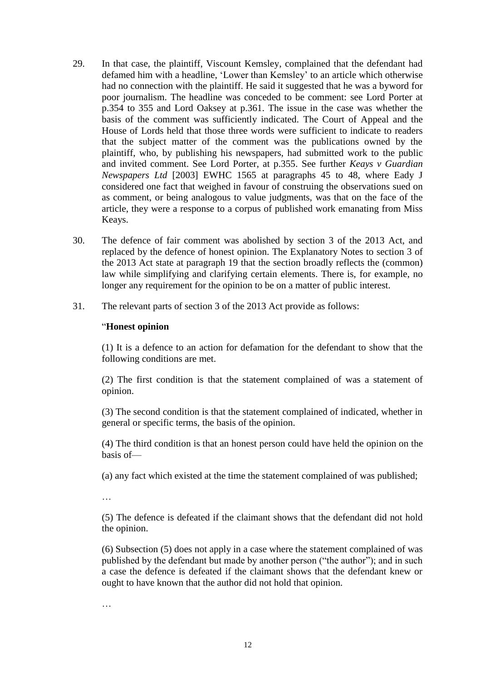- 29. In that case, the plaintiff, Viscount Kemsley, complained that the defendant had defamed him with a headline, 'Lower than Kemsley' to an article which otherwise had no connection with the plaintiff. He said it suggested that he was a byword for poor journalism. The headline was conceded to be comment: see Lord Porter at p.354 to 355 and Lord Oaksey at p.361. The issue in the case was whether the basis of the comment was sufficiently indicated. The Court of Appeal and the House of Lords held that those three words were sufficient to indicate to readers that the subject matter of the comment was the publications owned by the plaintiff, who, by publishing his newspapers, had submitted work to the public and invited comment. See Lord Porter, at p.355. See further *Keays v Guardian Newspapers Ltd* [2003] EWHC 1565 at paragraphs 45 to 48, where Eady J considered one fact that weighed in favour of construing the observations sued on as comment, or being analogous to value judgments, was that on the face of the article, they were a response to a corpus of published work emanating from Miss Keays.
- 30. The defence of fair comment was abolished by section 3 of the 2013 Act, and replaced by the defence of honest opinion. The Explanatory Notes to section 3 of the 2013 Act state at paragraph 19 that the section broadly reflects the (common) law while simplifying and clarifying certain elements. There is, for example, no longer any requirement for the opinion to be on a matter of public interest.
- 31. The relevant parts of section 3 of the 2013 Act provide as follows:

### "**Honest opinion**

(1) It is a defence to an action for defamation for the defendant to show that the following conditions are met.

(2) The first condition is that the statement complained of was a statement of opinion.

(3) The second condition is that the statement complained of indicated, whether in general or specific terms, the basis of the opinion.

(4) The third condition is that an honest person could have held the opinion on the basis of—

(a) any fact which existed at the time the statement complained of was published;

…

(5) The defence is defeated if the claimant shows that the defendant did not hold the opinion.

(6) Subsection (5) does not apply in a case where the statement complained of was published by the defendant but made by another person ("the author"); and in such a case the defence is defeated if the claimant shows that the defendant knew or ought to have known that the author did not hold that opinion.

…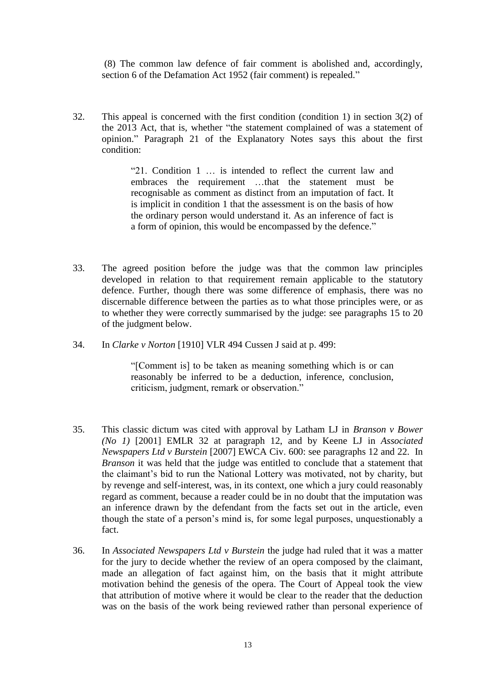(8) The common law defence of fair comment is abolished and, accordingly, section 6 of the Defamation Act 1952 (fair comment) is repealed."

32. This appeal is concerned with the first condition (condition 1) in section 3(2) of the 2013 Act, that is, whether "the statement complained of was a statement of opinion." Paragraph 21 of the Explanatory Notes says this about the first condition:

> "21. Condition 1 … is intended to reflect the current law and embraces the requirement …that the statement must be recognisable as comment as distinct from an imputation of fact. It is implicit in condition 1 that the assessment is on the basis of how the ordinary person would understand it. As an inference of fact is a form of opinion, this would be encompassed by the defence."

- 33. The agreed position before the judge was that the common law principles developed in relation to that requirement remain applicable to the statutory defence. Further, though there was some difference of emphasis, there was no discernable difference between the parties as to what those principles were, or as to whether they were correctly summarised by the judge: see paragraphs 15 to 20 of the judgment below.
- 34. In *Clarke v Norton* [1910] VLR 494 Cussen J said at p. 499:

"[Comment is] to be taken as meaning something which is or can reasonably be inferred to be a deduction, inference, conclusion, criticism, judgment, remark or observation."

- 35. This classic dictum was cited with approval by Latham LJ in *Branson v Bower (No 1)* [2001] EMLR 32 at paragraph 12, and by Keene LJ in *Associated Newspapers Ltd v Burstein* [2007] EWCA Civ. 600: see paragraphs 12 and 22. In *Branson* it was held that the judge was entitled to conclude that a statement that the claimant's bid to run the National Lottery was motivated, not by charity, but by revenge and self-interest, was, in its context, one which a jury could reasonably regard as comment, because a reader could be in no doubt that the imputation was an inference drawn by the defendant from the facts set out in the article, even though the state of a person's mind is, for some legal purposes, unquestionably a fact.
- 36. In *Associated Newspapers Ltd v Burstein* the judge had ruled that it was a matter for the jury to decide whether the review of an opera composed by the claimant, made an allegation of fact against him, on the basis that it might attribute motivation behind the genesis of the opera. The Court of Appeal took the view that attribution of motive where it would be clear to the reader that the deduction was on the basis of the work being reviewed rather than personal experience of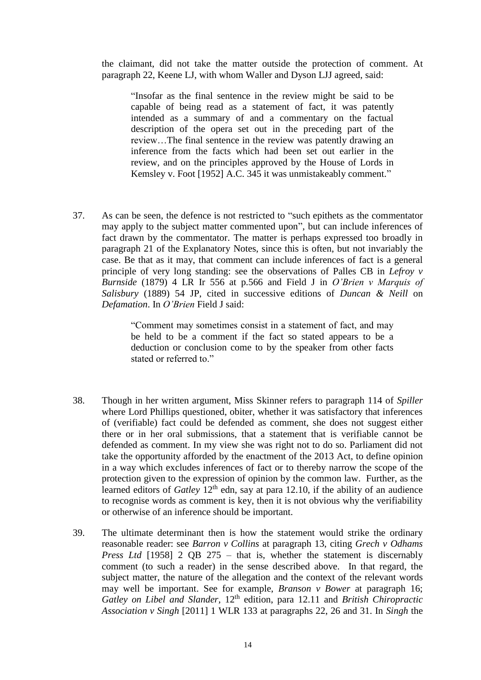the claimant, did not take the matter outside the protection of comment. At paragraph 22, Keene LJ, with whom Waller and Dyson LJJ agreed, said:

"Insofar as the final sentence in the review might be said to be capable of being read as a statement of fact, it was patently intended as a summary of and a commentary on the factual description of the opera set out in the preceding part of the review…The final sentence in the review was patently drawing an inference from the facts which had been set out earlier in the review, and on the principles approved by the House of Lords in Kemsley v. Foot [1952] A.C. 345 it was unmistakeably comment."

37. As can be seen, the defence is not restricted to "such epithets as the commentator may apply to the subject matter commented upon", but can include inferences of fact drawn by the commentator. The matter is perhaps expressed too broadly in paragraph 21 of the Explanatory Notes, since this is often, but not invariably the case. Be that as it may, that comment can include inferences of fact is a general principle of very long standing: see the observations of Palles CB in *Lefroy v Burnside* (1879) 4 LR Ir 556 at p.566 and Field J in *O'Brien v Marquis of Salisbury* (1889) 54 JP, cited in successive editions of *Duncan & Neill* on *Defamation*. In *O'Brien* Field J said:

> "Comment may sometimes consist in a statement of fact, and may be held to be a comment if the fact so stated appears to be a deduction or conclusion come to by the speaker from other facts stated or referred to."

- 38. Though in her written argument, Miss Skinner refers to paragraph 114 of *Spiller* where Lord Phillips questioned, obiter, whether it was satisfactory that inferences of (verifiable) fact could be defended as comment, she does not suggest either there or in her oral submissions, that a statement that is verifiable cannot be defended as comment. In my view she was right not to do so. Parliament did not take the opportunity afforded by the enactment of the 2013 Act, to define opinion in a way which excludes inferences of fact or to thereby narrow the scope of the protection given to the expression of opinion by the common law. Further, as the learned editors of *Gatley* 12<sup>th</sup> edn, say at para 12.10, if the ability of an audience to recognise words as comment is key, then it is not obvious why the verifiability or otherwise of an inference should be important.
- 39. The ultimate determinant then is how the statement would strike the ordinary reasonable reader: see *Barron v Collins* at paragraph 13, citing *Grech v Odhams Press Ltd* [1958] 2 QB 275 – that is, whether the statement is discernably comment (to such a reader) in the sense described above. In that regard, the subject matter, the nature of the allegation and the context of the relevant words may well be important. See for example, *Branson v Bower* at paragraph 16; *Gatley on Libel and Slander,* 12th edition, para 12.11 and *British Chiropractic Association v Singh* [2011] 1 WLR 133 at paragraphs 22, 26 and 31. In *Singh* the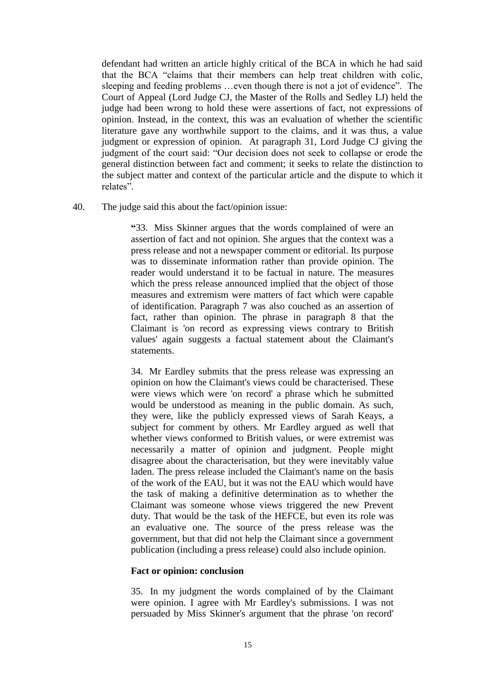defendant had written an article highly critical of the BCA in which he had said that the BCA "claims that their members can help treat children with colic, sleeping and feeding problems …even though there is not a jot of evidence". The Court of Appeal (Lord Judge CJ, the Master of the Rolls and Sedley LJ) held the judge had been wrong to hold these were assertions of fact, not expressions of opinion. Instead, in the context, this was an evaluation of whether the scientific literature gave any worthwhile support to the claims, and it was thus, a value judgment or expression of opinion. At paragraph 31, Lord Judge CJ giving the judgment of the court said: "Our decision does not seek to collapse or erode the general distinction between fact and comment; it seeks to relate the distinction to the subject matter and context of the particular article and the dispute to which it relates".

40. The judge said this about the fact/opinion issue:

**"**33. Miss Skinner argues that the words complained of were an assertion of fact and not opinion. She argues that the context was a press release and not a newspaper comment or editorial. Its purpose was to disseminate information rather than provide opinion. The reader would understand it to be factual in nature. The measures which the press release announced implied that the object of those measures and extremism were matters of fact which were capable of identification. Paragraph 7 was also couched as an assertion of fact, rather than opinion. The phrase in paragraph 8 that the Claimant is 'on record as expressing views contrary to British values' again suggests a factual statement about the Claimant's statements.

34. Mr Eardley submits that the press release was expressing an opinion on how the Claimant's views could be characterised. These were views which were 'on record' a phrase which he submitted would be understood as meaning in the public domain. As such, they were, like the publicly expressed views of Sarah Keays, a subject for comment by others. Mr Eardley argued as well that whether views conformed to British values, or were extremist was necessarily a matter of opinion and judgment. People might disagree about the characterisation, but they were inevitably value laden. The press release included the Claimant's name on the basis of the work of the EAU, but it was not the EAU which would have the task of making a definitive determination as to whether the Claimant was someone whose views triggered the new Prevent duty. That would be the task of the HEFCE, but even its role was an evaluative one. The source of the press release was the government, but that did not help the Claimant since a government publication (including a press release) could also include opinion.

### **Fact or opinion: conclusion**

35. In my judgment the words complained of by the Claimant were opinion. I agree with Mr Eardley's submissions. I was not persuaded by Miss Skinner's argument that the phrase 'on record'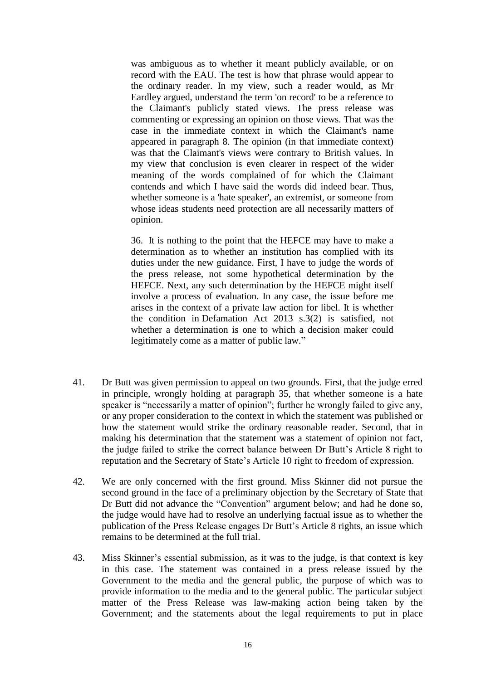was ambiguous as to whether it meant publicly available, or on record with the EAU. The test is how that phrase would appear to the ordinary reader. In my view, such a reader would, as Mr Eardley argued, understand the term 'on record' to be a reference to the Claimant's publicly stated views. The press release was commenting or expressing an opinion on those views. That was the case in the immediate context in which the Claimant's name appeared in paragraph 8. The opinion (in that immediate context) was that the Claimant's views were contrary to British values. In my view that conclusion is even clearer in respect of the wider meaning of the words complained of for which the Claimant contends and which I have said the words did indeed bear. Thus, whether someone is a 'hate speaker', an extremist, or someone from whose ideas students need protection are all necessarily matters of opinion.

36. It is nothing to the point that the HEFCE may have to make a determination as to whether an institution has complied with its duties under the new guidance. First, I have to judge the words of the press release, not some hypothetical determination by the HEFCE. Next, any such determination by the HEFCE might itself involve a process of evaluation. In any case, the issue before me arises in the context of a private law action for libel. It is whether the condition in Defamation Act 2013 s.3(2) is satisfied, not whether a determination is one to which a decision maker could legitimately come as a matter of public law."

- 41. Dr Butt was given permission to appeal on two grounds. First, that the judge erred in principle, wrongly holding at paragraph 35, that whether someone is a hate speaker is "necessarily a matter of opinion"; further he wrongly failed to give any, or any proper consideration to the context in which the statement was published or how the statement would strike the ordinary reasonable reader. Second, that in making his determination that the statement was a statement of opinion not fact, the judge failed to strike the correct balance between Dr Butt's Article 8 right to reputation and the Secretary of State's Article 10 right to freedom of expression.
- 42. We are only concerned with the first ground. Miss Skinner did not pursue the second ground in the face of a preliminary objection by the Secretary of State that Dr Butt did not advance the "Convention" argument below; and had he done so, the judge would have had to resolve an underlying factual issue as to whether the publication of the Press Release engages Dr Butt's Article 8 rights, an issue which remains to be determined at the full trial.
- 43. Miss Skinner's essential submission, as it was to the judge, is that context is key in this case. The statement was contained in a press release issued by the Government to the media and the general public, the purpose of which was to provide information to the media and to the general public. The particular subject matter of the Press Release was law-making action being taken by the Government; and the statements about the legal requirements to put in place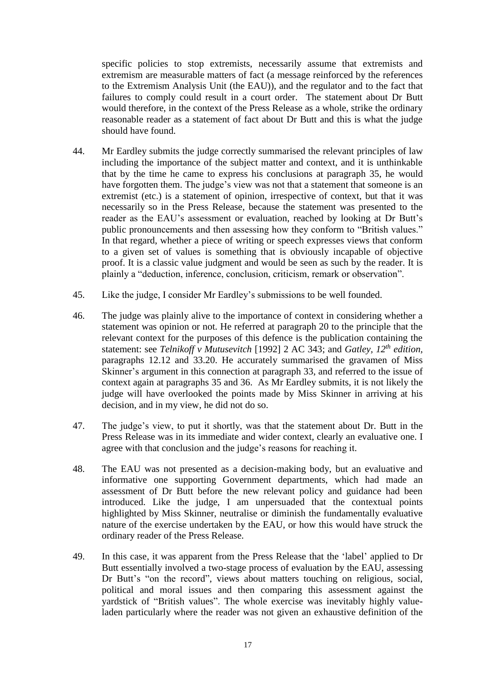specific policies to stop extremists, necessarily assume that extremists and extremism are measurable matters of fact (a message reinforced by the references to the Extremism Analysis Unit (the EAU)), and the regulator and to the fact that failures to comply could result in a court order. The statement about Dr Butt would therefore, in the context of the Press Release as a whole, strike the ordinary reasonable reader as a statement of fact about Dr Butt and this is what the judge should have found.

- 44. Mr Eardley submits the judge correctly summarised the relevant principles of law including the importance of the subject matter and context, and it is unthinkable that by the time he came to express his conclusions at paragraph 35, he would have forgotten them. The judge's view was not that a statement that someone is an extremist (etc.) is a statement of opinion, irrespective of context, but that it was necessarily so in the Press Release, because the statement was presented to the reader as the EAU's assessment or evaluation, reached by looking at Dr Butt's public pronouncements and then assessing how they conform to "British values." In that regard, whether a piece of writing or speech expresses views that conform to a given set of values is something that is obviously incapable of objective proof. It is a classic value judgment and would be seen as such by the reader. It is plainly a "deduction, inference, conclusion, criticism, remark or observation".
- 45. Like the judge, I consider Mr Eardley's submissions to be well founded.
- 46. The judge was plainly alive to the importance of context in considering whether a statement was opinion or not. He referred at paragraph 20 to the principle that the relevant context for the purposes of this defence is the publication containing the statement: see *Telnikoff v Mutusevitch* [1992] 2 AC 343; and *Gatley, 12th edition,*  paragraphs 12.12 and 33.20. He accurately summarised the gravamen of Miss Skinner's argument in this connection at paragraph 33, and referred to the issue of context again at paragraphs 35 and 36. As Mr Eardley submits, it is not likely the judge will have overlooked the points made by Miss Skinner in arriving at his decision, and in my view, he did not do so.
- 47. The judge's view, to put it shortly, was that the statement about Dr. Butt in the Press Release was in its immediate and wider context, clearly an evaluative one. I agree with that conclusion and the judge's reasons for reaching it.
- 48. The EAU was not presented as a decision-making body, but an evaluative and informative one supporting Government departments, which had made an assessment of Dr Butt before the new relevant policy and guidance had been introduced. Like the judge, I am unpersuaded that the contextual points highlighted by Miss Skinner, neutralise or diminish the fundamentally evaluative nature of the exercise undertaken by the EAU, or how this would have struck the ordinary reader of the Press Release.
- 49. In this case, it was apparent from the Press Release that the 'label' applied to Dr Butt essentially involved a two-stage process of evaluation by the EAU, assessing Dr Butt's "on the record", views about matters touching on religious, social, political and moral issues and then comparing this assessment against the yardstick of "British values". The whole exercise was inevitably highly valueladen particularly where the reader was not given an exhaustive definition of the